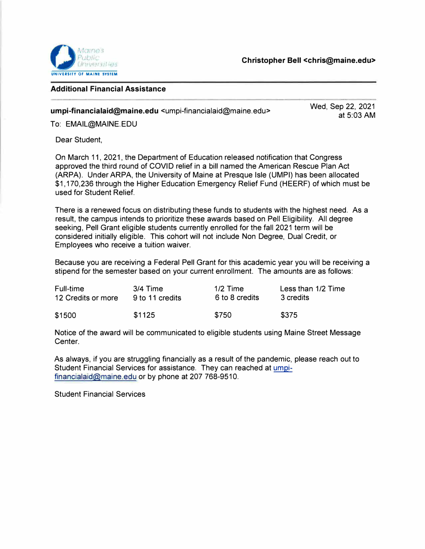

## **Additional Financial Assistance**

**umpi-financialaid@maine.edu** <umpi-financialaid@maine.edu>

Wed, Sep 22, 2021 at 5:03 AM

To: EMAIL@MAINE.EDU

Dear Student,

On March 11, 2021, the Department of Education released notification that Congress approved the third round of COVID relief in a bill named the American Rescue Plan Act (ARPA). Under ARPA, the University of Maine at Presque Isle (UMPI) has been allocated \$1,170,236 through the Higher Education Emergency Relief Fund (HEERF) of which must be used for Student Relief.

There is a renewed focus on distributing these funds to students with the highest need. As a result, the campus intends to prioritize these awards based on Pell Eligibility. All degree seeking, Pell Grant eligible students currently enrolled for the fall 2021 term will be considered initially eligible. This cohort will not include Non Degree, Dual Credit, or Employees who receive a tuition waiver.

Because you are receiving a Federal Pell Grant for this academic year you will be receiving a stipend for the semester based on your current enrollment. The amounts are as follows:

| Full-time          | $3/4$ Time      | $1/2$ Time     | Less than 1/2 Time |
|--------------------|-----------------|----------------|--------------------|
| 12 Credits or more | 9 to 11 credits | 6 to 8 credits | 3 credits          |
| \$1500             | \$1125          | \$750          | \$375              |

Notice of the award will be communicated to eligible students using Maine Street Message Center.

As always, if you are struggling financially as a result of the pandemic, please reach out to Student Financial Services for assistance. They can reached at umpifinancialaid@maine.edu or by phone at 207 768-9510.

Student Financial Services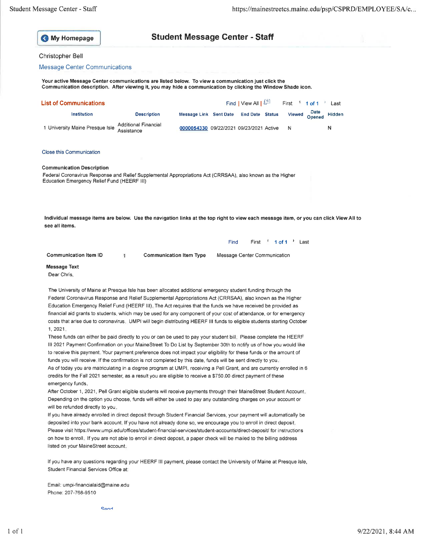| <b>My Homepage</b> |
|--------------------|
|                    |

## **Student Message Center - Staff**

## Christopher Bell

## **Message Center Communications**

Your active Message Center communications are listed below. To view a communication just click the Communication description. After viewing it, you may hide a communication by clicking the Window Shade icon.

| List of Communications                                                                                                                                                                                                                                                                                                                                                                                                                                                                                                                                                                                                                                                                                                                                                                                                                                                                                                                                                                                                                                                                                                                                                                                                                                                                                                                                                                                                                                                           |                                           |                                         |      | Find   View All              | First<br>$\mathbf{1}$         | 1 of 1         | Last   |
|----------------------------------------------------------------------------------------------------------------------------------------------------------------------------------------------------------------------------------------------------------------------------------------------------------------------------------------------------------------------------------------------------------------------------------------------------------------------------------------------------------------------------------------------------------------------------------------------------------------------------------------------------------------------------------------------------------------------------------------------------------------------------------------------------------------------------------------------------------------------------------------------------------------------------------------------------------------------------------------------------------------------------------------------------------------------------------------------------------------------------------------------------------------------------------------------------------------------------------------------------------------------------------------------------------------------------------------------------------------------------------------------------------------------------------------------------------------------------------|-------------------------------------------|-----------------------------------------|------|------------------------------|-------------------------------|----------------|--------|
| Institution                                                                                                                                                                                                                                                                                                                                                                                                                                                                                                                                                                                                                                                                                                                                                                                                                                                                                                                                                                                                                                                                                                                                                                                                                                                                                                                                                                                                                                                                      | <b>Description</b>                        | Message Link Sent Date                  |      | <b>End Date Status</b>       | Viewed                        | Date<br>Opened | Hidden |
| 1 University Maine Presque Isle                                                                                                                                                                                                                                                                                                                                                                                                                                                                                                                                                                                                                                                                                                                                                                                                                                                                                                                                                                                                                                                                                                                                                                                                                                                                                                                                                                                                                                                  | <b>Additional Financial</b><br>Assistance | 0000054330 09/22/2021 09/23/2021 Active |      |                              | N                             |                | Ν      |
| <b>Close this Communication</b>                                                                                                                                                                                                                                                                                                                                                                                                                                                                                                                                                                                                                                                                                                                                                                                                                                                                                                                                                                                                                                                                                                                                                                                                                                                                                                                                                                                                                                                  |                                           |                                         |      |                              |                               |                |        |
| <b>Communication Description</b>                                                                                                                                                                                                                                                                                                                                                                                                                                                                                                                                                                                                                                                                                                                                                                                                                                                                                                                                                                                                                                                                                                                                                                                                                                                                                                                                                                                                                                                 |                                           |                                         |      |                              |                               |                |        |
| Federal Coronavirus Response and Relief Supplemental Appropriations Act (CRRSAA), also known as the Higher<br>Education Emergency Relief Fund (HEERF III)                                                                                                                                                                                                                                                                                                                                                                                                                                                                                                                                                                                                                                                                                                                                                                                                                                                                                                                                                                                                                                                                                                                                                                                                                                                                                                                        |                                           |                                         |      |                              |                               |                |        |
| Individual message items are below. Use the navigation links at the top right to view each message item, or you can click View All to<br>see all items.                                                                                                                                                                                                                                                                                                                                                                                                                                                                                                                                                                                                                                                                                                                                                                                                                                                                                                                                                                                                                                                                                                                                                                                                                                                                                                                          |                                           |                                         |      |                              |                               |                |        |
|                                                                                                                                                                                                                                                                                                                                                                                                                                                                                                                                                                                                                                                                                                                                                                                                                                                                                                                                                                                                                                                                                                                                                                                                                                                                                                                                                                                                                                                                                  |                                           |                                         | Find |                              | First $\pm$ 1 of 1 $\pm$ Last |                |        |
| <b>Communication Item ID</b>                                                                                                                                                                                                                                                                                                                                                                                                                                                                                                                                                                                                                                                                                                                                                                                                                                                                                                                                                                                                                                                                                                                                                                                                                                                                                                                                                                                                                                                     | 1                                         | <b>Communication Item Type</b>          |      | Message Center Communication |                               |                |        |
| <b>Message Text</b><br>Dear Chris,                                                                                                                                                                                                                                                                                                                                                                                                                                                                                                                                                                                                                                                                                                                                                                                                                                                                                                                                                                                                                                                                                                                                                                                                                                                                                                                                                                                                                                               |                                           |                                         |      |                              |                               |                |        |
| The University of Maine at Presque Isle has been allocated additional emergency student funding through the<br>Federal Coronavirus Response and Relief Supplemental Appropriations Act (CRRSAA), also known as the Higher<br>Education Emergency Relief Fund (HEERF III). The Act requires that the funds we have received be provided as<br>financial aid grants to students, which may be used for any component of your cost of attendance, or for emergency<br>costs that arise due to coronavirus. UMPI will begin distributing HEERF III funds to eligible students starting October<br>1, 2021.<br>These funds can either be paid directly to you or can be used to pay your student bill. Please complete the HEERF<br>III 2021 Payment Confirmation on your MaineStreet To Do List by September 30th to notify us of how you would like<br>to receive this payment. Your payment preference does not impact your eligibility for these funds or the amount of<br>funds you will receive. If the confirmation is not completed by this date, funds will be sent directly to you.<br>As of today you are matriculating in a degree program at UMPI, receiving a Pell Grant, and are currently enrolled in 6<br>credits for the Fall 2021 semester, as a result you are eligible to receive a \$750,00 direct payment of these<br>emergency funds.<br>After October 1, 2021, Pell Grant eligible students will receive payments through their MaineStreet Student Account. |                                           |                                         |      |                              |                               |                |        |
| Depending on the option you choose, funds will either be used to pay any outstanding charges on your account or<br>will be refunded directly to you.                                                                                                                                                                                                                                                                                                                                                                                                                                                                                                                                                                                                                                                                                                                                                                                                                                                                                                                                                                                                                                                                                                                                                                                                                                                                                                                             |                                           |                                         |      |                              |                               |                |        |
| If you have already enrolled in direct deposit through Student Financial Services, your payment will automatically be<br>deposited into your bank account. If you have not already done so, we encourage you to enroll in direct deposit                                                                                                                                                                                                                                                                                                                                                                                                                                                                                                                                                                                                                                                                                                                                                                                                                                                                                                                                                                                                                                                                                                                                                                                                                                         |                                           |                                         |      |                              |                               |                |        |

Please visit https://www.umpi.edu/offices/student-financial-services/student-accounts/direct-deposit/ for instructions on how to enroll. If you are not able to enroll in direct deposit, a paper check will be mailed to the billing address listed on your MaineStreet account.

If you have any questions regarding your HEERF III payment, please contact the University of Maine at Presque Isle, Student Financial Services Office at:

Email: umpi-financialaid@maine.edu Phone: 207-768-9510

Sand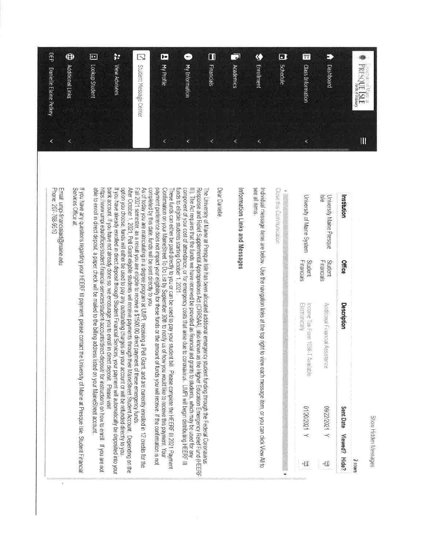Show Hidden Messages

| FILE CHEV IN MILE &                    | $\mathbf{II}$            |                                                             |                       |                                                                                                                                                                                                                                                                                                                                                                                                                                                                                                                                    |                                                      |                        |
|----------------------------------------|--------------------------|-------------------------------------------------------------|-----------------------|------------------------------------------------------------------------------------------------------------------------------------------------------------------------------------------------------------------------------------------------------------------------------------------------------------------------------------------------------------------------------------------------------------------------------------------------------------------------------------------------------------------------------------|------------------------------------------------------|------------------------|
| PRESQUE ISLE                           |                          | Institution                                                 | <b>Office</b>         | Description                                                                                                                                                                                                                                                                                                                                                                                                                                                                                                                        | Sent Date                                            | Viewed? Hide?<br>SMOIZ |
|                                        |                          |                                                             |                       |                                                                                                                                                                                                                                                                                                                                                                                                                                                                                                                                    |                                                      |                        |
| P<br>Dashboard                         |                          | $\frac{5}{6}$<br>University Maine Presque                   | Financials<br>Student | Additional Financial Assistance                                                                                                                                                                                                                                                                                                                                                                                                                                                                                                    | A 1202/22/60                                         | ⊣∐                     |
| œ<br><b>Class Information</b>          | $\overline{\phantom{0}}$ | University of Maine System                                  | Student<br>Financials | Income Tax Form 1098-T Available<br>Electronically                                                                                                                                                                                                                                                                                                                                                                                                                                                                                 | A 120202110                                          | ન∐                     |
| $\blacksquare$<br><b>Schedule</b>      |                          | Close this Communication                                    |                       |                                                                                                                                                                                                                                                                                                                                                                                                                                                                                                                                    |                                                      |                        |
| $\bullet$<br>Enrollment                | $\leq$                   | see all items                                               |                       | Individual message items are below. Use the navigation links at the top right to view each message item, or you can click View All to                                                                                                                                                                                                                                                                                                                                                                                              |                                                      |                        |
| $\bar{\mathbf{v}}$<br>Academics        | $\overline{\phantom{0}}$ | Information Links and Messages                              |                       |                                                                                                                                                                                                                                                                                                                                                                                                                                                                                                                                    |                                                      |                        |
| $\Box$<br><b>Financials</b>            | $\overline{\phantom{0}}$ | Dear Danielle                                               |                       | The University of Maine at Presque Isle has been allocated additional emergency student funding through the Federal Coronavirus                                                                                                                                                                                                                                                                                                                                                                                                    |                                                      |                        |
| <b>My Information</b>                  | K                        |                                                             |                       | component of your cost of attendance, or for emergency costs that arise due to coronavirus. UMPI will begin distributing HEERF III<br>III). The Act requires that the funds we have received be provided as financial aid grants to students, which may be used for any<br>Response and Relief Supplemental Appropriations Act (CRRSAA), also known as the Higher Education Emergency Relief Fund (HEERF                                                                                                                           |                                                      |                        |
| E<br>My Profile                        | K                        | funds to eligible students starting October 1 2021          |                       | payment preference does not impact your eligibility for these funds or the amount of tunds you will receive. If the confirmation is not<br>Confirmation on your MaineStreet To Do List by September 30th to notify us of how you would like to receive this payment. Your<br>These funds can either be paid directly to you or can be used to pay your student bill. Please complete the HEERF III 2021 Payment                                                                                                                    |                                                      |                        |
| $\mathbb{Z}$<br>Student Message Center |                          | completed by this date, funds will be sent directly to you. |                       | As of today you are matriculating in a degree program at UMPI, receiving a Pell Gr.<br>Fall 2021 semester, as a result you are eligible to receive a \$1560.00 direct payment of these emergency funds.                                                                                                                                                                                                                                                                                                                            | ant, and are currently enclied in 12 credits for the |                        |
| þ.<br>View Advisees                    |                          |                                                             |                       | option you choose, funds will either be used to pay any outstanding charges on your account or will be refunded directly to you.<br>After October 1, 2021, Pell Grant eligible students will receive payments through their MaineStreet Student Account, Depending on the<br>bank account. If you have not already done so, we encourage you to enroll in direct deposit. Please visit<br>f you have already enrolled in direct deposit through Student Financial Services, your payment will automatically be deposited into your |                                                      |                        |
| Ŀ<br>Lookup Student                    |                          |                                                             |                       | able to enroll in direct deposit, a paper check will be mailed to the billing address listed on your MaineStreet account<br>https://www.umpi.edu/offices/student-financial-services/student-accounts/direct-deposit/ for instructions on how to enroll. If you are not                                                                                                                                                                                                                                                             |                                                      |                        |

If you have any questions regarding your HEERF III payment, please contact the University of Maine at Presque Isle. Student Financial<br>Services Office at:

 $\chi$ 

Email: umpi-financialaid@maine.edu<br>Phone: 207-768-9510

 $\bigoplus$ 

Additional Links

 $\bar{\bar{}}$ 

[2] Lookup Student

DEP Danielle Elaine Pelkey

 $\prec$ 

 $\overline{\mathbb{N}}$